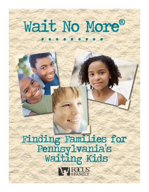# Wait No More®

Finding Families for<br>Pennsylvania's<br>Waiting Kids

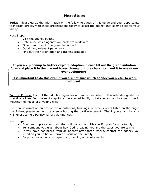# **Next Steps**

**Today:** Please utilize the information on the following pages of this guide and your opportunity to interact directly with those organizations today to select the agency that seems best for your family.

Next Steps:

- Visit the agency booths
- Determine which agency you prefer to work with
- Fill out and turn in the green initiation form
- Obtain any relevant paperwork
- Find out their orientation and training schedule

**If you are planning to further explore adoption, please fill out the green initiation form and place it in the marked boxes throughout the church or hand it to one of our event volunteers.**

**It is important to do this even if you are not sure which agency you prefer to work with yet.**

**In the Future:** Each of the adoption agencies and ministries listed in this attendee guide has specifically identified the next step for an interested family to take as you explore your role in meeting the needs of a waiting child.

For more information on any of the orientations, trainings, or other events listed on the pages that follow, please contact the agency hosting the particular event. Thank you again for your willingness to help Pennsylvania's waiting kids!

Next Steps:

- Continue to pray about how God will use you and His specific plan for your family
- Tell someone you trust about how God is leading you and the steps you are taking
- If you have not heard from an agency after three weeks, contact the agency you listed on your initiation form or Focus on the Family
- Be proactive about any paperwork, training or requirements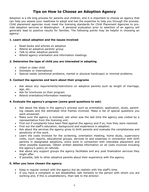# **Tips on How to Choose an Adoption Agency**

Adoption is a life long process for parents and children, and it is important to choose an agency that can help you assess your readiness to adopt and has the expertise to help you through the process. Child placement agencies must meet the licensing standards for Child Placement Agencies to provide adoption services in Washington. A personal evaluation prior to selection of an agency will generally lead to positive results for families. The following points may be helpful in choosing an agency:

#### **1. Learn about adoption and the issues involved**

- Read books and articles on adoption
- Attend an adoptive parents' group
- Talk to other adoptive parents
- Attend agency orientation and information meetings

#### **2. Determine the type of child you are interested in adopting**

- Infant or older child
- Domestic or International
- Special needs (emotional problems, mental or physical handicaps) or minimal problems.

#### **3. Contact the agencies and learn about their programs**

- Ask about any requirements/restrictions on adoptive parents such as length of marriage, age, etc.
- Ask for brochures on their program
- Attend orientation/information meetings

## **4. Evaluate the agency's program (some good questions to ask)**

- Ask about the steps in the agency's process such as orientation, application, study, parenting classes and the estimated time frames involved. Make a list of special questions you want answered.
- Make sure the agency is licensed; ask when was the last time the agency was visited by a representative from the licensing unit.
- Find out if complaints have been filed against the agency and if so, how they were resolved.
- Find out the staff's education, background and experience in adoption.
- Ask about the services the agency gives to birth parents and evaluate the completeness and sensitivity of this work.
- Learn the costs involved for the screening, orientation meeting, home study, supervisory visits, court reports, educational groups, services to and expenses in connection with birth parents in designated adoptions, extra work in connection with interstate placement and other possible expenses. Obtain written detailed information on all costs involved including the agency's policy on refunds.
- Ask about any support groups the agency facilitates and any post finalization services they might offer.
- If possible, talk to other adoptive parents about their experience with the agency.

#### **5. After you have chosen the agency**

- Keep in regular contact with the agency but be realistic with the staff's time.
- If you have a complaint or are dissatisfied, talk honestly to the person with whom you are working and, if this is unsatisfactory, than talk to the director.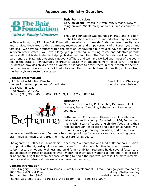# **Agency and Ministry Overview**



#### *Bair Foundation*

**Service area:** Offices in Pittsburgh, Altoona, New Wilmington and Middletown; worked in most counties in PA

The Bair Foundation was founded in 1967 and is a nonprofit Christian foster care and adoption agency based

in New Wilmington, PA. The Bair Foundation mission is to provide Christ-centered quality care and services dedicated to the treatment, restoration, and empowerment of children, youth and families. We have four offices within the state of Pennsylvania but we also have multiple offices in seven other states. We have a large group of caring, nurturing foster and adoptive parents and a staff that is dedicated to helping children and families. The Bair Foundation Adoption Department is a State Wide Adoption Network affiliate and we have worked with most of the counties in the state of Pennsylvania in order to assist with adoptions from foster care. The Bair Foundation provides children with a variety of services to assist them in their search for permanent resources. We also work with adoptive families to match them with waiting children from the Pennsylvania foster care system.

#### **Contact Information:**

*Jill Schmidt—Adoption Director* Email: kritter@bair.org Kirsten Ritter-Adoption Lead Coordinator Medicines of Mebsite: www.bair.org 1801 Oberlin Road Middletown, PA 17057 Phone: (717) 985-6450, (800) 543-7059; Fax: (717) 985-6449



#### *Bethanna*

**Service area:** Bucks, Philadelphia, Delaware, Montgomery, Berks, Dauphine, Lebanon and Lancaster counties.

Bethanna is a Christian multi-service child welfare and behavioral health agency. Founded in 1934, Bethanna has a rich history of supporting children/youth and their families through foster care and adoption services, visitation services, parenting education, and an array of

behavioral health services. Bethanna has been providing foster care services, including general, medical, kinship, and treatment foster care for 28 years.

The agency has offices in Philadelphia, Lancaster, Southampton and Media. Bethanna's mission is to provide the highest quality system of care for children and families in order to ensure safety, restore emotional wellness and build family stability. Bethanna holds several foster care and adoption information sessions every month for individuals wanting to find out if foster care or adoption is right for them or those wanting to begin the approval process. For more information or session dates visit our website at www.bethanna.org.

#### **Contact information:**

*David Gregory—Director of Admissions & Family Development* Email: dgregory@bethanna.org 1030 Second Street Pike kkanyi@bethanna.org Southampton, PA 18966 Material Control of the Media Website: www.bethanna.org Phone: (215) 280-3169; (610) 565-5455 x1304; Fax: (610) 565-5007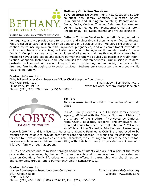

## *Bethany Christian Services*

**Service area:** Delaware—Kent, New Castle and Sussex counties; New Jersey—Camden, Gloucester, Salem, Cumberland and Burlington counties; Pennsylvania— Berks, Bucks, Carbon, Chester, Delaware, Lackawanna, Lehigh, Luzerne, Monroe, Montgomery, Northampton, Philadelphia, Pike, Susquehanna and Wayne counties.

Bethany Christian Services is the nation's largest adop-

tion agency, and we provide care for orphans and vulnerable children living on five continents. We are called to care for children of all ages and in all stages of life. We serve children at conception by counseling women with unplanned pregnancies, and our commitment extends to children and teens who are living in foster care or in orphanages—children who need a "forever family." Our primary goal is to help children of all ages and all health conditions know what it means to have a safe, stable and secure permanent family as quickly as possible through reunification, adoption, foster care, and Safe Families for Children services. Our mission is to demonstrate the love and compassion of Jesus Christ by protecting and enhancing the lives of children and families through quality social services. Bethany envisions a world where every child has a loving family.

#### **Contact information:**

*Abby Miller—Foster Care Supervisor/Older Child Adoption Coordinator*  7827 Old York Road Email: abbymiller@bethany.org Elkins Park, PA 19027 Website: www.bethany.org/philadelphia Phone: (215) 376-6200; Fax: (215) 635-0837



## *COBYS*

**Service area:** families within 1 hour radius of our main office

COBYS Family Services is a Christian family service agency, affiliated with the Atlantic Northeast District of the Church of the Brethren. "Motivated by Christian faith, COBYS educates, supports, and empowers children and adults to reach their full potential." COBYS is an affiliate of the Statewide Adoption and Permanency

Network (SWAN) and is a licensed foster care agency. Families at COBYS are approved to be resource families able to provide both foster care and adoption. It is our goal for children in foster care to move as few times as possible; therefore, we encourage families to be open to foster care and later assist children in reuniting with their birth family or provide the children with a forever family through adoption.

COBYS also carries out its mission through adoption of infants who are not a part of the foster care system; counseling by trained Christian therapists at three locations in Lancaster and Lebanon Counties; family life education programs offered in partnership with church, school, and community groups; and a permanency unit in Lancaster City.

#### **Contact information:**

*Kristen Bomberger—Resource Home Coordinator* Email: careforkids@cobys.org 1417 Oregon Road News States and Website: www.cobys.org Leola, PA 17540 Phone: (717) 656-6580, (800) 452-6517; Fax: (717) 656-3056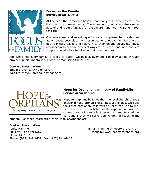

*Focus on the Family*  **Service area:** National

At Focus on the Family we believe that every child deserves to know the love of a forever family. Therefore, our goal is to raise awareness of and recruit families for the children and youth waiting in foster care.

Our awareness and recruiting efforts are complemented by desperately needed post-placement resources for adoptive families that are both biblically based and relevant to their unique struggles. These resources also provide practical ways for churches and individuals to support the adoptive families in their communities.

And while not every family is called to adopt, we believe everyone can play a role through prayer support, mentoring, giving, or mobilizing the church.

## **Contact Information:**

Email: orphancare@family.org Website: www.iCareAboutOrphans.org



## *Hope for Orphans, a ministry of FamilyLife*  **Service area:** National

Hope for Orphans believes that the local church is God's answer for the orphan crisis. Because of this, we build tools that passionate followers of Christ can use to mobilize their church on behalf of the orphan. We want to connect you with excellent resources and trusted organizations that will serve your church in reaching the

orphan. For more information, visit HopeForOrphans.org.

## **Contact Information:**

*Jonita Hammer* Email: jhammer@hopefororphans.org 2001 W. Plano Parkway and the state of the Website: www.hopefororphans.org Plano, TX 75075 Phone: (972) 941-4431; Fax: (972) 941-4432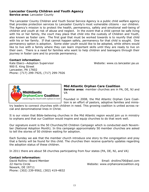## *Lancaster County Children and Youth Agency*

**Service area:** Lancaster County

The Lancaster County Children and Youth Social Service Agency is a public child welfare agency that provides protection services to Lancaster County's most vulnerable citizens - our children. The Agency's mission is to protect the health, permanency, safety and emotional well-being of children and youth at risk of abuse and neglect. In the event that a child cannot be safe living with his or her family, the court may place that child into the custody of Children and Youth, also known as foster care. The first goal that must be worked towards is to reunify that child with his or her family. If that cannot happen safely, permanency for that child is sought. One permanency option is adoption. Some older youth would like to be adopted, while others would like to live with a family where they can learn important skills until they are ready to live on their own. There is a need for families who want to help children and teenagers through their journey in foster care and to provide permanency.

#### **Contact information:**

*Kate Eberz—Adoption Supervisor* Website: www.co.lancaster.pa.us 900 E. King Street Lancaster, PA 17602 Phone: (717) 299-7925, (717) 299-7926



*Mid Atlantic Orphan Care Coalition*  **Service area:** member churches are in PA, DE, NJ and VA

Founded in 2008, the Mid Atlantic Orphan Care Coalition is an effort of pastors, adoptive families and minis-

try leaders to connect churches with children in need. This growing coalition is united across racial and denominational lines in Christ.

It is our vision that Bible-believing churches in the Mid Atlantic region would join us in ministry to orphans and that our Coalition would inspire and equip churches to do that work well.

Our signature event is the 50 Churches/50 Children Campaign which is conducted each November (National Adoption Month). In this campaign approximately 50 member churches are asked to tell the stories of 50 children waiting for adoption.

Each Sunday we ask that the member church introduce one story to the congregation and pray that a family will be found for this child. The churches then receive quarterly updates regarding the adoption status of these children.

In 2011 there are about 58 churches participating from four states (PA, DE, NJ, and VA)

## **Contact information:**

*David Rollins—Board Member* Email: drollins706@aol.com 22 Harris Circle **No. 22 Harris Circle** Website: www.orphancarecoalition.org Newark, DE 19711 Phone: (302) 239-9562, (302) 419-4832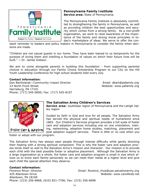

#### *Pennsylvania Family Institute*  **Service area:** State of Pennsylvania

The Pennsylvania Family Institute is absolutely committed to strengthening the family in Pennsylvania, as well as providing children the best opportunities and security which comes from a strong family. As a non-profit organization, we work to raise awareness of the importance of the family and strong moral principles in today's marketplace of ideas. We serve to offer the con-

stant reminder to leaders and policy makers in Pennsylvania to consider the family when decisions are made.

"Children are not casual guests in our home. They have been loaned to us temporarily for the purpose of loving them and instilling a foundation of values on which their future lives will be built." ~ Dr. James Dobson.

We aim to come alongside parents in building this foundation - from supporting parental choices in education through our Family Choice Scholarship Program to our City on the Hill Youth Leadership Conference for high school students held every July.

#### **Contact information:**

*Dan Bartkowiak—Community Impact Director* **Email: dbart@pafamily.org** 23 North Front Street Website: www.pafamily.org Harrisburg, PA 17101 Phone: (717) 545-0600; Fax: (717) 545-8107



## *The Salvation Army Children's Services*

**Service area:** southeast region of Pennsylvania and the Lehigh Valley region

Guided by faith in God and love for all people, The Salvation Army has served the physical and spiritual needs of humankind since 1865. Our Children's Services program provides a full scale of foster care and adoption services including one on one orientation, training, networking, adoption home studies, matching, placement and post adoption support services. There is little or no cost when you

foster or adopt with our program.

The Salvation Army has always seen people through intense difficulty while gently directing their healing with a strong spiritual component. This is why the foster care and adoption process lends itself so well to the Salvation Army's mission and character. Our mission is to provide each child with the best possible foster or adoptive placement. Although the Salvation Army is a large organization as a whole, the foster care and adoption program is small in size which allows us to know each family personally so we can meet their needs at a higher level and give each child the special attention they deserve.

## **Contact information:**

*Florence Rhue—Director* Email: florence\_rhue@use.salvationarmy.org 425 Allentown Drive Website: www.care4kids.net Allentown, PA 18109 Phone: (215) 256-6868, (610) 821-7706; Fax: (215) 256-6698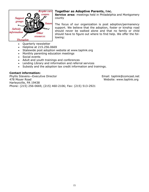

## *Together as Adoptive Parents, Inc.*

**Service area:** meetings held in Philadelphia and Montgomery county

The focus of our organization is post adoption/permanency support. We believe that the adoption, foster or kinship road should never be walked alone and that no family or child should have to figure out where to find help. We offer the following:

- Quarterly newsletter
- Helpline at 215.256.0669
- Statewide post adoption website at www.taplink.org
- Monthly parenting education meetings
- Social events
- Adult and youth trainings and conferences
- Lending Library and information and referral services
- Subsidy and the adoption tax credit information and trainings.

## **Contact information:**

*Phyllis Stevens—Executive Director* Email: taplink@comcast.net A Moyer Road Note and Website: www.taplink.org Harleysville, PA 19438 Phone: (215) 256-0669, (215) 460-2106; Fax: (215) 513-2921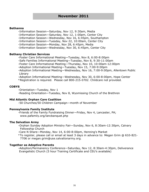- -Information Session—Saturday, Nov 12, 9:30am, Media
- -Information Session—Saturday, Nov 12, 1:00pm, Center City
- -Information Session—Wednesday, Nov 16, 6:45pm, Southampton
- -Information Session—Tuesday, Nov 22, 10:00am, Center City
- -Information Session—Monday, Nov 28, 6:45pm, Media
- -Information Session—Wednesday, Nov 30, 6:45pm, Center City

#### **Bethany Christian Services**

-Foster Care Informational Meeting—Tuesday, Nov 8, 6:00-8:00pm

- -Safe Families Informational Meeting—Tuesday, Nov 8, 9:30-11:00am
- -Foster Care Informational Meeting—Thursday, Nov 10, 10:00am-12:00pm
- -Adoption Informational Meeting—Tuesday, Nov 15, 7:00-9:00pm
- -Adoption Informational Meeting—Wednesday, Nov 16, 7:00-9:00pm, Allentown Public Library
- -Adoption Informational Meeting—Wednesday, Nov 30, 6:00-8:00pm, Hope Center
- *\*Registration is required. Please call 800-215-0702. Childcare not provided.*

#### **COBYS**

- -Orientation—Tuesday, Nov 1
- -Reading Orientation—Tuesday, Nov 8, Wyomissing Church of the Brethren

#### **Mid Atlantic Orphan Care Coalition**

-50 Churches/50 Children Campaign—month of November

#### **Pennsylvania Family Institute**

 -*Friends of the Family* Fundraising Dinner—Friday, Nov 4, Lancaster, PA; www.pafamily.org/lancbanquet.php

#### **The Salvation Army**

 -Orphan Sunday Adoption Ministry Fair—Sunday, Nov 6, 8:30am-12:30pm, Calvary Fellowship Church

-Care N Share—Monday, Nov 14, 6:00-8:00pm, Henning's Market

*\*To register, please call or email at least 3 days in advance to: Megan Grim @ 610-821- 7706 or megan.grim@use.salvationarmy.org.* 

#### **Together as Adoptive Parents**

 -Adoption/Permanency Conference—Saturday, Nov 12, 8:30am-4:30pm, Deliverance Evangelistic Church (5 hour Training Certificate and CEU's available)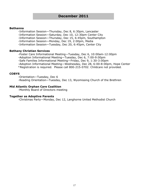-Information Session—Thursday, Dec 8, 6:30pm, Lancaster

-Information Session—Saturday, Dec 10, 12:30pm Center City

-Information Session—Thursday, Dec 15, 6:45pm, Southampton

-Information Session—Monday, Dec 19, 2:00pm, Media

-Information Session—Tuesday, Dec 20, 6:45pm, Center City

#### **Bethany Christian Services**

-Foster Care Informational Meeting—Tuesday, Dec 6, 10:00am-12:00pm

-Adoption Informational Meeting—Tuesday, Dec 6, 7:00-9:00pm

-Safe Families Informational Meeting—Friday, Dec 9, 1:30-3:00pm

-Adoption Informational Meeting—Wednesday, Dec 28, 6:00-8:00pm, Hope Center

*\*Registration is required. Please call 800-215-0702. Childcare not provided.*

#### **COBYS**

-Orientation—Tuesday, Dec 6

-Reading Orientation—Tuesday, Dec 13, Wyomissing Church of the Brethren

#### **Mid Atlantic Orphan Care Coalition**

-Monthly Board of Directors meeting

#### **Together as Adoptive Parents**

-Christmas Party—Monday, Dec 12, Langhorne United Methodist Church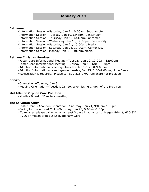-Information Session—Saturday, Jan 7, 10:00am, Southampton

-Information Session—Tuesday, Jan 10, 6:45pm, Center City

-Information Session—Thursday, Jan 12, 6:30pm, Lancaster

-Information Session—Wednesday, Jan 18, 12:00pm, Center City

-Information Session—Saturday, Jan 21, 10:00am, Media

-Information Session—Saturday, Jan 28, 10:00am, Center City

-Information Session—Monday, Jan 30, 1:00pm, Media

#### **Bethany Christian Services**

-Foster Care Informational Meeting—Tuesday, Jan 10, 10:00am-12:00pm

-Foster Care Informational Meeting—Tuesday, Jan 10, 6:00-8:00pm

-Adoption Informational Meeting—Tuesday, Jan 17, 7:00-9:00pm

-Adoption Informational Meeting—Wednesday, Jan 25, 6:00-8:00pm, Hope Center

*\*Registration is required. Please call 800-215-0702. Childcare not provided.*

#### **COBYS**

-Orientation—Tuesday, Jan 3

-Reading Orientation—Tuesday, Jan 10, Wyomissing Church of the Brethren

#### **Mid Atlantic Orphan Care Coalition**

-Monthly Board of Directors meeting

#### **The Salvation Army**

-Foster Care & Adoption Orientation—Saturday, Jan 21, 9:00am-1:00pm

-Caring for the Abused Child—Saturday, Jan 28, 9:00am-1:00pm

*\*To register, please call or email at least 3 days in advance to: Megan Grim @ 610-821- 7706 or megan.grim@use.salvationarmy.org.*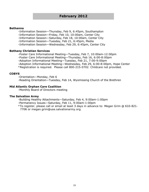-Information Session—Thursday, Feb 9, 6:45pm, Southampton

-Information Session—Friday, Feb 10, 10:00am, Center City

-Information Session—Saturday, Feb 18, 10:00am, Center City

-Information Session—Tuesday, Feb 21, 6:45pm, Media

-Information Session—Wednesday, Feb 29, 6:45pm, Center City

#### **Bethany Christian Services**

-Foster Care Informational Meeting—Tuesday, Feb 7, 10:00am-12:00pm

-Foster Care Informational Meeting—Thursday, Feb 16, 6:00-8:00pm

-Adoption Informational Meeting—Tuesday, Feb 21, 7:00-9:00pm

-Adoption Informational Meeting—Wednesday, Feb 29, 6:00-8:00pm, Hope Center

*\*Registration is required. Please call 800-215-0702. Childcare not provided.*

#### **COBYS**

-Orientation—Monday, Feb 6

-Reading Orientation—Tuesday, Feb 14, Wyomissing Church of the Brethren

#### **Mid Atlantic Orphan Care Coalition**

-Monthly Board of Directors meeting

#### **The Salvation Army**

-Building Healthy Attachments—Saturday, Feb 4, 9:00am-1:00pm

-Permanency Issues—Saturday, Feb 11, 9:00am-1:00pm

*\*To register, please call or email at least 3 days in advance to: Megan Grim @ 610-821- 7706 or megan.grim@use.salvationarmy.org.*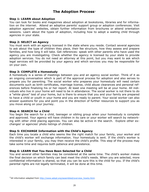# **The Adoption Process**

#### **Step 1: LEARN about Adoption**

You can look for books and magazines about adoption at bookstores, libraries and for information on the internet. Attend an adoptive parents' support group or adoption conferences. Visit adoption agencies' websites, obtain further information from brochures or attend orientation sessions. Learn about the types of adoption, including how to adopt a waiting child through agencies in your state.

#### **Step 2: SELECT an Agency**

You must work with an agency licensed in the state where you reside. Contact several agencies to ask about the type of children they place, their fee structure, how they assess and prepare families, and how long it will take. Get references: speak with other parents who have used the agency you are investigating. Check whether the agency is licensed by your state to provide adoption services. You do not need an attorney at this point, but you may want to ask which legal services will be provided by your agency and which services you may be responsible for on your own.

#### **Step 3: COMPLETE a Homestudy**

A homestudy is a series of meetings between you and an agency social worker. Think of it as an ongoing conversation which is part of the approval process for adoption and also serves to prepare you for parenting. The social worker who prepares your homestudy will need certain documents such as birth certificates, marriage license, child abuse clearances and personal references before finalizing his or her report. At least one meeting will be at your home. All individuals who live in your home will need to be in attendance. The social worker is not there to do a "white glove" test of your home, but is there to ensure that you and your family are prepared to have a child or youth in your home and you are ready to parent. Your social worker can also answer questions for you and point you in the direction of further resources to support you as you move along on your journey.

#### **Step 4: SEARCH for a Child**

You begin the search for a child, teenager or sibling group when your homestudy is complete and approved. Your agency will have children in its care or your worker will search by networking with other child placing agencies. You can also be active in the search. Explore other exchanges' or agencies' photo listings of children.

#### **Step 5: EXCHANGE Information with the Child's Agency**

Each time you locate a child who seems like the right match for your family, your worker and the child's worker will exchange information. Your homestudy is sent. If the child's worker is interested in your family, you may then receive the child's profile. This step of the process may take some time and requires both patience and persistence.

#### **Step 6: LEARN that You Have Been Selected for a Child**

You and several other families may be considered at the same time. The child's worker makes the final decision on which family can best meet the child's needs. When you are selected, more confidential information is shared, so that you can be sure this is the child for you. If the child's parental rights are not legally terminated, it will be done at this time.

<sup>&</sup>lt;sup>1</sup> All information adapted from http://www.adopt.org/assembled/overview\_howto.html.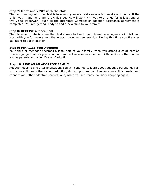#### **Step 7: MEET and VISIT with the child**

The first meeting with the child is followed by several visits over a few weeks or months. If the child lives in another state, the child's agency will work with you to arrange for at least one or two visits. Paperwork, such as the Interstate Compact or adoption assistance agreement is completed. You are getting ready to add a new child to your family.

#### **Step 8: RECEIVE a Placement**

The placement date is when the child comes to live in your home. Your agency will visit and work with you for several months in post placement supervision. During this time you file a legal intent to adopt petition.

#### **Step 9: FINALIZE Your Adoption**

Your child or teenager becomes a legal part of your family when you attend a court session where a judge finalizes your adoption. You will receive an amended birth certificate that names you as parents and a certificate of adoption.

#### **Step 10: LIVE AS AN ADOPTIVE FAMILY**

Adoption doesn't end after finalization. You will continue to learn about adoptive parenting. Talk with your child and others about adoption, find support and services for your child's needs, and connect with other adoptive parents. And, when you are ready, consider adopting again.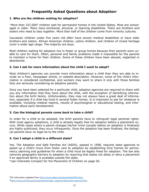# **Frequently Asked Questions about Adoption**

## **1. Who are the children waiting for adoption?**

<sup>1</sup> More than 107,000<sup>3</sup> children wait for permanent homes in the United States. Most are schoolaged or older. Many have emotional, physical, or learning disabilities. There are brothers and sisters who need to stay together. More than half of the children come from minority cultures.

Caucasian children under five years old often have severe medical disabilities or have older brothers and sisters. African American children, Latino children, and children of mixed heritage cover a wider age range. The majority are boys.

Most children waiting for adoption live in foster or group homes because their parents were unable to care for them. Often, personal and family problems made it impossible for the parents to maintain a home for their children. Some of these children have been abused, neglected or abandoned.

## **2. Can I ask for more information about the child I want to adopt?**

Most children's agencies can provide more information about a child than they are able to include on a flyer, newspaper article, or website description. However, some of the child's information is considered confidential, and workers may want to share it only with those families they are seriously considering as adoptive parents.

Once you have been selected for a particular child, adoption agencies are required to share with you any information that they have about the child, with the exception of identifying information about the birth family. Unfortunately, they may not always have a great deal of information, especially if a child has lived in several foster homes. It is important to ask for whatever is available, including medical reports, results of psychological or educational testing, and information about early development.

## **3. Can the biological parents come back to take a child?**

In order for a child to be adopted, the birth parents have to relinquish legal parental rights. With most agency adoptions, a child is already legally free for adoption before a placement occurs. While cases where a parent changes his/her mind (usually before an adoption is finalized) are highly publicized, they occur infrequently. Once the adoption has been finalized, the biological parents have no legal tie to the child.

## **4. Can I adopt a child in a different state?**

Yes. The Adoption and Safe Families Act (ASFA), passed in 1998, requires state agencies to speed up a child's move from foster care to adoption by establishing time frames for permanency planning and guidelines for when a child must be legally freed for adoption. The law also removes geographic barriers to adoption by requiring that states not delay or deny a placement if an approved family is available outside the state.

*\*see Interstate Compact for the Placement of Children on page 26.* 

All information adapted from http://www.adopt.org/assembled/FAQ.html.

http://www.acf.hhs.gov/programs/cb/stats\_research/afcars/tar/report18.htm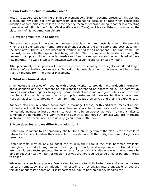## **5. Can I adopt a child of another race?**

Yes. In October, 1995, the Multi-Ethnic Placement Act (MEPA) became effective. This act and subsequent revisions bar any agency from discriminating because of race when considering adoption opportunities for children, if the agency receives federal funding. Another law affecting transracial adoption is the Indian Child Welfare Act (ICWA), which establishes provisions for the placement of Native American children.

## **6. How long will it take to adopt?**

There are two stages in the adoption process: pre-placement and post-placement. Placement is when the child enters your home, pre-placement describes the time before and post-placement the time after. There is a pre-placement waiting period for all adoptions. The time frame, like the cost, varies with the type of child being adopted. With a completed homestudy in hand, the process to adopt a child with special needs can often proceed quickly and be completed within a few months. The wait is typically between two and seven years for a healthy infant.

After placement, your agency will have to supervise your family for a legally-mandated length of time before finalization can occur. Typically this post-placement time period will be no less than six months from the time of placement.

## **7. What is a homestudy?**

A homestudy is a series of meetings with a social worker to provide more in-depth information about adoption and help prepare an applicant for parenting an adopted child. The homestudy process varies from agency to agency. Some conduct individual and joint interviews with both members of a couple; others conduct group homestudies with several families at one time. Most ask applicants to provide written information about themselves and their life experiences.

Agencies also require certain documents: a marriage license, birth certificate, medical report, criminal check and child abuse clearance. Personal character references are often required. The homestudy includes at least one visit to your home by an agency worker. The time it takes to complete the homestudy will vary from one agency to another, but families who are interested in children with special needs are usually given prompt attention.

## **8. How does foster care differ from adoption?**

Foster care is meant to be temporary shelter for a child; generally the plan is for the child to return to the parents when they are able to provide care. If that fails, the parental rights are terminated.

Foster parents may be able to adopt the child in their care if the child becomes available, through a foster-adopt program with their agency. In fact, most adoptions in the United States are by children's foster parents. Beginning as a foster parent is also one way that you may be able to adopt a healthy infant or toddler. But you are not required to be a foster parent in order to adopt.

While some agencies approve a family simultaneously for both foster care and adoption, a foster care homestudy and an adoption homestudy are not always interchangeable. If you are thinking about foster-adoption, it is important to inquire how an agency handles this.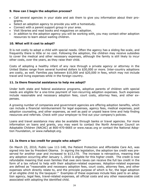## **9. How can I begin the adoption process?**

- Call several agencies in your state and ask them to give you information about their programs.
- Select an adoption agency to provide you with a homestudy.
- Connect with a parent support group in your area.
- Visit libraries and read books and magazines on adoption.
- In addition to the adoption agency you will be working with, you may contact other adoption resources to learn about waiting children.

## **10. What will it cost to adopt?**

It is not costly to adopt a child with special needs. Often the agency has a sliding fee scale, and frequently there is little or no cost. Following the adoption, the children may receive subsidies to cover the medical and other necessary expenses, although the family is still likely to incur other costs, over the years, as they raise their child.

Costs of adopting a healthy infant of any race through a private agency or attorney in the United States range from several hundred dollars to \$30,000 or more. Inter-country adoptions are costly, as well. Families pay between \$10,000 and \$20,000 in fees, which may not include travel and living expenses while in the foreign country.

## **11. Is there financial assistance to help me adopt?**

Under both state and federal assistance programs, adoptive parents of children with special needs are eligible for a one-time payment of non-recurring adoption expenses. Such expenses include reasonable and necessary adoption fees, court costs, attorney fees, and other expenses.

A growing number of companies and government agencies are offering adoption benefits, which can include a financial reimbursement for legal expenses, agency fees, medical expenses, post adoption counseling, and other expenses, as well as paid or unpaid leave time and help finding resources and referrals. Check with your employer to find out your company's policies.

Loans and travel assistance may also be available through banks or travel agencies. For more information on loans and grants, you may want to contact the North American Council on Adoptable Children (NACAC) at 800-470-6665 or www.nacac.org or contact the National Adoption Foundation, or www.nafadopt.org.

## **12. Is there a tax credit for people who adopt?**

On March 23, 2010, Public Law 111-148, the Patient Protection and Affordable Care Act, was signed into law by President Obama. In signing the legislation, the adoption tax credit was preserved for another year and increased to \$13,170. The increase is retroactive, meaning that any adoption occurring after January 1, 2010 is eligible for this higher credit. The credit is now refundable meaning that even families that owe zero taxes can receive the full tax credit in the form of a tax refund to help with their adoption-related expenses. Adoption-related expenses are defined as "reasonable and necessary adoption fees, court costs, attorney fees, and other expenses which directly relate to, and the principle purpose of which is for, the legal adoption of an eligible child by the taxpayer." Examples of these expenses include fees paid to an adoption agency, legal fees, travel-related expenses, all official costs and any other reasonable cost associated with adopting the identified child.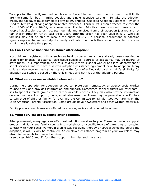To apply for the credit, married couples must file a joint return and the maximum credit limits are the same for both married couples and single adoptive parents. To take the adoption credit, the taxpayer must complete Form 8839, entitled "Qualified Adoption Expenses," which is used to itemize qualifying adoption-related expenses. Form 8839 is then attached to either the Form 1040 of Form 1040A, whichever is applicable. Adoptive parents should make sure to keep all applicable records, receipts, journals and invoices from their adoption journey and retain this information for at least three years after the credit has been used in full. While all families may not be able to recoup the entire \$13,170, a personal accountant or adoption agency representative can help the family estimate how much they should be able to receive within the allowable time period.

## **13. Can I receive financial assistance after adoption?**

Most children registered with agencies as having special needs have already been classified as eligible for financial assistance, also called subsidies. Sources of assistance may be federal or state funds. It is important to discuss subsidies with your social worker and local department of social services and to have a written adoption assistance agreement prior to adoption. Many children also receive medical assistance in the form of a Medicaid card. A child's eligibility for adoption assistance is based on the child's need and not that of the adopting parents.

#### **14. What services are available before adoption?**

During the preparation for adoption, as you complete your homestudy, an agency social worker counsels you and provides information and support. Sometimes social workers will refer families to special interest groups for a particular child's needs. They may also provide information on adoptive parent support groups, a valuable resource. These may be general or specific to a certain type of child or family, for example the Committee for Single Adoptive Parents or the Latin American Parents Association. Some groups have newsletters and other written materials.

Family preparation classes are offered by some agencies and required by others.

## **15. What services are available after adoption?**

After placement, many agencies offer post-adoption services to you. These can include support groups, individual and family counseling, workshops on specific topics of parenting, or ongoing contact with your social worker. If a child was receiving therapy or special schooling before the adoption, it will usually be continued. An employee assistance program at your workplace may also offer referrals for needed services.

*\*see pages 10-15 and 31 for other support ministries and materials.*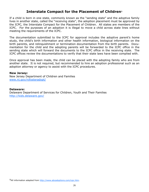# **Interstate Compact for the Placement of Children**

If a child is born in one state, commonly known as the "sending state" and the adoptive family lives in another state, called the "receiving state", the adoption placement must be approved by the ICPC, the Interstate Compact for the Placement of Children. All states are members of the ICPC. For the purposes of an adoption it is illegal to move a child across state lines without meeting the requirements of the ICPC.

The documentation submitted to the ICPC for approval includes the adoptive parent's home study, the child's birth information and other health information, biological information on the birth parents, and relinquishment or termination documentation from the birth parents. Documentation for the child and the adopting parents will be forwarded to the ICPC office in the sending state which will forward the documents to the ICPC office in the receiving state. The ICPC offices review the documentations to verify that their state laws have been complied with.

Once approval has been made, the child can be placed with the adopting family who are from another state. It is not required, but recommended to hire an adoption professional such as an adoption attorney or agency to assist with the ICPC procedures.

#### **New Jersey:**

New Jersey Department of Children and Families www.nj.gov/njfosteradopt/

#### **Delaware:**

Delaware Department of Services for Children, Youth and Their Families http://kids.delaware.gov/

<sup>5</sup> All information adapted from http://www.abcadoptions.com/icpc.htm.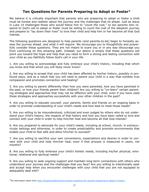# **Ten Questions for Parents Preparing to Adopt or Foster<sup>7</sup>**

We believe it is critically important that parents who are preparing to adopt or foster a child must be honest and realistic about the journey and the challenges that lie ahead. Just as Jesus in Luke 14 challenged those who would follow him to "count the cost," so too parents who respond to God's call to adopt or foster must be willing to count the cost of the adoption journey and prepare to "lay down their lives" to love their child and help him or her become all that God intends.

The following questions are designed to help parents (and parents-to-be) begin to honestly assess the journey ahead…and what it will require. We encourage you to thoughtfully and prayerfully consider these questions. They are not meant to scare you or in any way discourage you from continuing on this amazing path. Instead, our desire is simply that these questions will point you toward the hope and help that you need to form a strong and lasting connection with your child as you faithfully follow God's call in your life.

1. Are you willing to acknowledge and fully embrace your child's history, including that which you know and that which you will likely never know?

2. Are you willing to accept that your child has been affected by his/her history, possibly in profound ways, and as a result that you will need to parent your child in a way that exhibits true compassion and promotes connection and healing?

3. Are you willing to parent differently than how you were parented, how you have parented in the past, or how your friends parent their children? Are you willing to "un-learn" certain parenting strategies and approaches that may not be effective with your child, even if you have used these strategies and approaches successfully with your other children in the past?

4. Are you willing to educate yourself, your parents, family and friends on an ongoing basis in order to promote understanding of your child's needs and how best to meet those needs?

5. Are you willing to be misunderstood, criticized and even judged by others who do not understand your child's history, the impacts of that history and how you have been called to love and connect with your child in order to help him/her heal and become all that God intends?

6. Are you prepared to advocate for your child's needs, including at school, church, in extracurricular settings and otherwise, in order to create predictability and promote environments that enable your child to feel safe and allow him/her to succeed?

7. Are you willing to sacrifice your own convenience, expectations and desires in order to connect with your child and help him/her heal, even if that process is measured in years, not months?

8. Are you willing to fully embrace your child's holistic needs, including his/her physical, emotional, relational and spiritual needs?

9. Are you willing to seek ongoing support and maintain long-term connections with others who understand your journey and the challenges that you face? Are you willing to intentionally seek and accept help when you encounter challenges with your child that you are not equipped to adequately deal with?

All information taken from http://empoweredtoconnect.org/ten-questions-for-parents-preparing-to-adopt-or-foster/.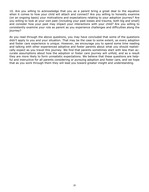10. Are you willing to acknowledge that you as a parent bring a great deal to the equation when it comes to how your child will attach and connect? Are you willing to honestly examine (on an ongoing basis) your motivations and expectations relating to your adoption journey? Are you willing to look at your own past (including your past losses and trauma, both big and small) and consider how your past may impact your interactions with your child? Are you willing to consistently examine your role as parent as you experience challenges and difficulties along the journey?

As you read through the above questions, you may have concluded that some of the questions didn't apply to you and your situation. That may be the case to some extent, as every adoption and foster care experience is unique. However, we encourage you to spend some time reading and talking with other experienced adoptive and foster parents about what you should realistically expect as you travel this journey. We find that parents sometimes start with less than accurate assumptions about how the adoption or foster care journey will unfold, and as a result they are more likely to form unrealistic expectations. We believe that these questions are helpful and instructive for all parents considering or pursuing adoption and foster care, and we hope that as you work through them they will lead you toward greater insight and understanding.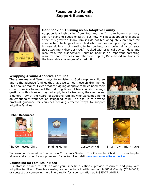# **Focus on the Family Support Resources**



## *Handbook on Thriving as an Adoptive Family*

Adoption is a high calling from God, and the Christian home is primary soil for planting seeds of faith. But how will post-adoption challenges affect this growth? Many families do not feel adequately prepared for unexpected challenges like a child who has been adopted fighting with his new siblings, not wanting to be touched, or showing signs of reactive attachment disorder (RAD). Packed with practical advice, ideas and resources, this distinctively Christian book is an important parenting resource that provides comprehensive, topical, Bible-based solutions for the inevitable challenges after adoption.

## *Wrapping Around Adoptive Families*

There are many different ways to minister to God's orphan children and to the adoptive families that have welcomed these children home. This booklet makes it clear that struggling adoptive families need their church families to support them during times of trials. While the suggestions in this booklet may not apply to all situations, they represent a general "cry of the heart" of adoptive families who welcomed home an emotionally wounded or struggling child. The goal is to provide practical guidance for churches seeking effective ways to support adoptive families.





## **Other Resources**









The Connected ChildFinding Home Castaway Kid Small Town, Big Miracle

To download *Created to Connect – A Christian's Guide to The Connected Child* or to view helpful videos and articles for adoptive and foster families, visit www.empoweredtoconnect.org.

#### **Counseling for Families in Need**

Our staff is trained to help answer your specific questions, provide resources and pray with adoptive families. Families seeking someone to talk with can call 1-800-A-Family (232-6459) or contact our counseling help line directly for a consultation at 1-855-771-HELP.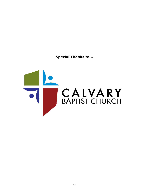**Special Thanks to...**